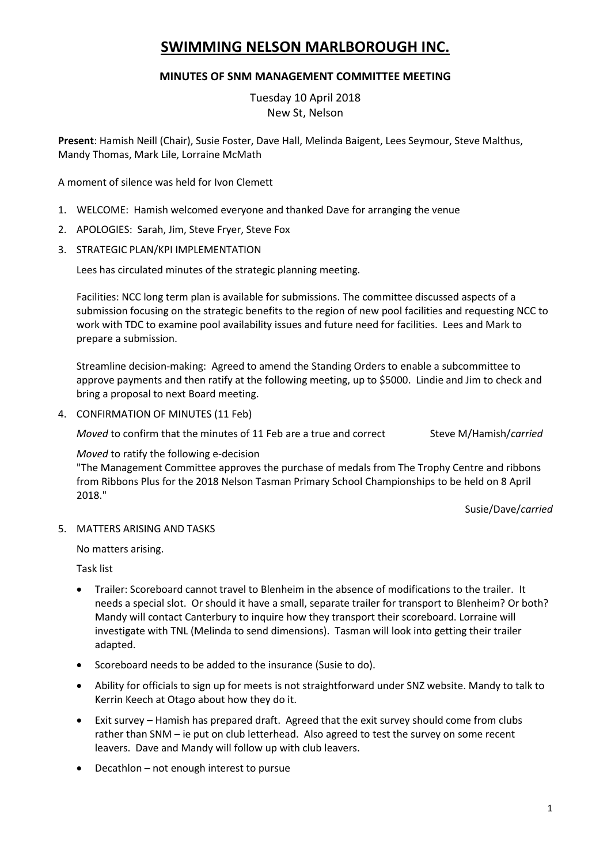# **SWIMMING NELSON MARLBOROUGH INC.**

# **MINUTES OF SNM MANAGEMENT COMMITTEE MEETING**

Tuesday 10 April 2018 New St, Nelson

**Present**: Hamish Neill (Chair), Susie Foster, Dave Hall, Melinda Baigent, Lees Seymour, Steve Malthus, Mandy Thomas, Mark Lile, Lorraine McMath

A moment of silence was held for Ivon Clemett

- 1. WELCOME: Hamish welcomed everyone and thanked Dave for arranging the venue
- 2. APOLOGIES: Sarah, Jim, Steve Fryer, Steve Fox
- 3. STRATEGIC PLAN/KPI IMPLEMENTATION

Lees has circulated minutes of the strategic planning meeting.

Facilities: NCC long term plan is available for submissions. The committee discussed aspects of a submission focusing on the strategic benefits to the region of new pool facilities and requesting NCC to work with TDC to examine pool availability issues and future need for facilities. Lees and Mark to prepare a submission.

Streamline decision-making: Agreed to amend the Standing Orders to enable a subcommittee to approve payments and then ratify at the following meeting, up to \$5000. Lindie and Jim to check and bring a proposal to next Board meeting.

4. CONFIRMATION OF MINUTES (11 Feb)

*Moved* to confirm that the minutes of 11 Feb are a true and correct Steve M/Hamish/*carried* 

*Moved* to ratify the following e-decision

"The Management Committee approves the purchase of medals from The Trophy Centre and ribbons from Ribbons Plus for the 2018 Nelson Tasman Primary School Championships to be held on 8 April 2018."

Susie/Dave/*carried*

5. MATTERS ARISING AND TASKS

No matters arising.

Task list

- Trailer: Scoreboard cannot travel to Blenheim in the absence of modifications to the trailer. It needs a special slot. Or should it have a small, separate trailer for transport to Blenheim? Or both? Mandy will contact Canterbury to inquire how they transport their scoreboard. Lorraine will investigate with TNL (Melinda to send dimensions). Tasman will look into getting their trailer adapted.
- Scoreboard needs to be added to the insurance (Susie to do).
- Ability for officials to sign up for meets is not straightforward under SNZ website. Mandy to talk to Kerrin Keech at Otago about how they do it.
- Exit survey Hamish has prepared draft. Agreed that the exit survey should come from clubs rather than SNM – ie put on club letterhead. Also agreed to test the survey on some recent leavers. Dave and Mandy will follow up with club leavers.
- Decathlon not enough interest to pursue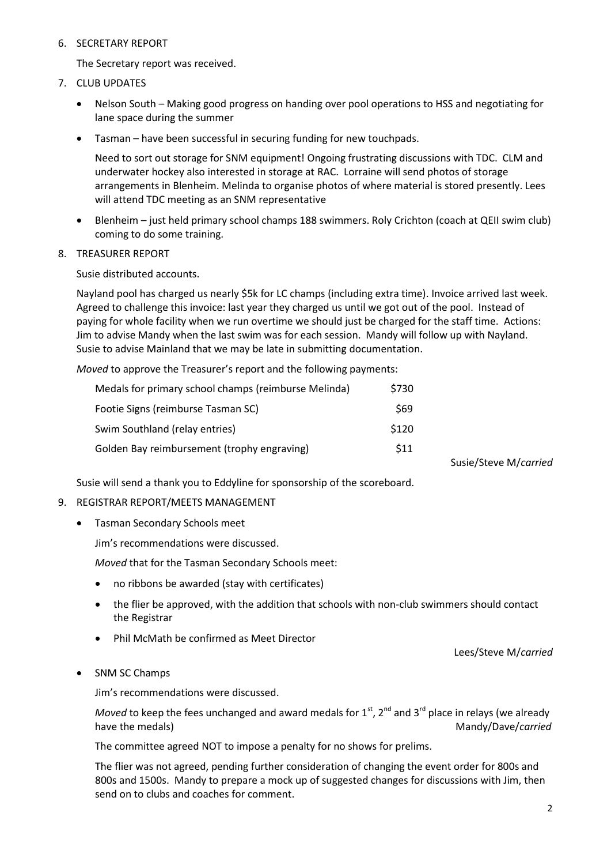## 6. SECRETARY REPORT

The Secretary report was received.

- 7. CLUB UPDATES
	- Nelson South Making good progress on handing over pool operations to HSS and negotiating for lane space during the summer
	- Tasman have been successful in securing funding for new touchpads.

Need to sort out storage for SNM equipment! Ongoing frustrating discussions with TDC. CLM and underwater hockey also interested in storage at RAC. Lorraine will send photos of storage arrangements in Blenheim. Melinda to organise photos of where material is stored presently. Lees will attend TDC meeting as an SNM representative

 Blenheim – just held primary school champs 188 swimmers. Roly Crichton (coach at QEII swim club) coming to do some training.

#### 8. TREASURER REPORT

Susie distributed accounts.

Nayland pool has charged us nearly \$5k for LC champs (including extra time). Invoice arrived last week. Agreed to challenge this invoice: last year they charged us until we got out of the pool. Instead of paying for whole facility when we run overtime we should just be charged for the staff time. Actions: Jim to advise Mandy when the last swim was for each session. Mandy will follow up with Nayland. Susie to advise Mainland that we may be late in submitting documentation.

*Moved* to approve the Treasurer's report and the following payments:

| Medals for primary school champs (reimburse Melinda) | \$730 |
|------------------------------------------------------|-------|
| Footie Signs (reimburse Tasman SC)                   | \$69  |
| Swim Southland (relay entries)                       | \$120 |
| Golden Bay reimbursement (trophy engraving)          | \$11  |

Susie/Steve M/*carried*

Susie will send a thank you to Eddyline for sponsorship of the scoreboard.

#### 9. REGISTRAR REPORT/MEETS MANAGEMENT

Tasman Secondary Schools meet

Jim's recommendations were discussed.

*Moved* that for the Tasman Secondary Schools meet:

- no ribbons be awarded (stay with certificates)
- the flier be approved, with the addition that schools with non-club swimmers should contact the Registrar
- Phil McMath be confirmed as Meet Director

Lees/Steve M/*carried*

SNM SC Champs

Jim's recommendations were discussed.

*Moved* to keep the fees unchanged and award medals for  $1<sup>st</sup>$ ,  $2<sup>nd</sup>$  and  $3<sup>rd</sup>$  place in relays (we already have the medals) **Mandy/Dave/***carried* Mandy/Dave/*carried* 

The committee agreed NOT to impose a penalty for no shows for prelims.

The flier was not agreed, pending further consideration of changing the event order for 800s and 800s and 1500s. Mandy to prepare a mock up of suggested changes for discussions with Jim, then send on to clubs and coaches for comment.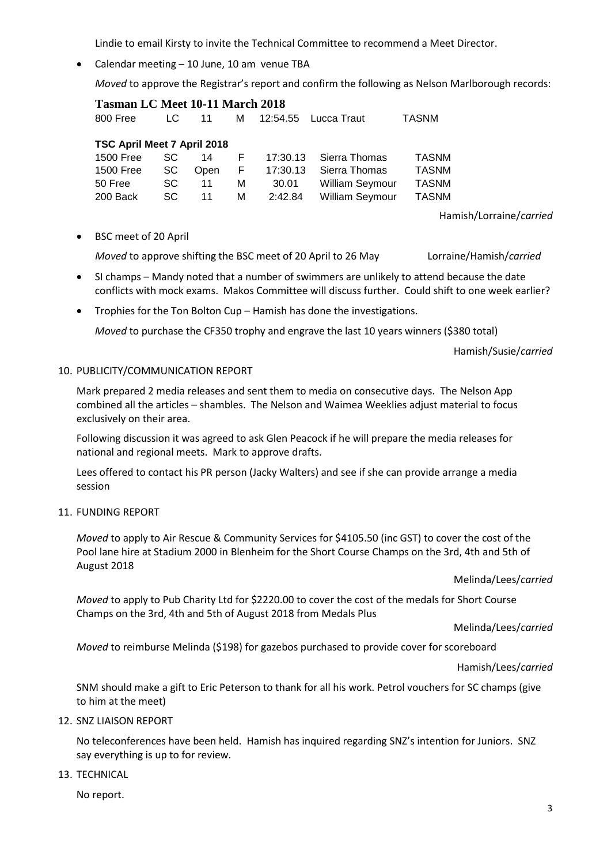Lindie to email Kirsty to invite the Technical Committee to recommend a Meet Director.

• Calendar meeting – 10 June, 10 am venue TBA

*Moved* to approve the Registrar's report and confirm the following as Nelson Marlborough records:

| <b>Tasman LC Meet 10-11 March 2018</b> |     |             |    |          |                        |              |  |
|----------------------------------------|-----|-------------|----|----------|------------------------|--------------|--|
| 800 Free                               | LC. | 11          | м  | 12:54.55 | Lucca Traut            | <b>TASNM</b> |  |
|                                        |     |             |    |          |                        |              |  |
| TSC April Meet 7 April 2018            |     |             |    |          |                        |              |  |
| 1500 Free                              | SC. | 14          | F. | 17:30.13 | Sierra Thomas          | <b>TASNM</b> |  |
| <b>1500 Free</b>                       | SC  | <b>Open</b> | F. | 17:30.13 | Sierra Thomas          | <b>TASNM</b> |  |
| 50 Free                                | SC. | 11          | м  | 30.01    | <b>William Seymour</b> | <b>TASNM</b> |  |
| 200 Back                               | SC. | 11          | м  | 2:42.84  | <b>William Seymour</b> | <b>TASNM</b> |  |
|                                        |     |             |    |          |                        |              |  |

Hamish/Lorraine/*carried*

BSC meet of 20 April

*Moved* to approve shifting the BSC meet of 20 April to 26 May Lorraine/Hamish/*carried*

- SI champs Mandy noted that a number of swimmers are unlikely to attend because the date conflicts with mock exams. Makos Committee will discuss further. Could shift to one week earlier?
- Trophies for the Ton Bolton Cup Hamish has done the investigations.

*Moved* to purchase the CF350 trophy and engrave the last 10 years winners (\$380 total)

Hamish/Susie/*carried*

#### 10. PUBLICITY/COMMUNICATION REPORT

Mark prepared 2 media releases and sent them to media on consecutive days. The Nelson App combined all the articles – shambles. The Nelson and Waimea Weeklies adjust material to focus exclusively on their area.

Following discussion it was agreed to ask Glen Peacock if he will prepare the media releases for national and regional meets. Mark to approve drafts.

Lees offered to contact his PR person (Jacky Walters) and see if she can provide arrange a media session

#### 11. FUNDING REPORT

*Moved* to apply to Air Rescue & Community Services for \$4105.50 (inc GST) to cover the cost of the Pool lane hire at Stadium 2000 in Blenheim for the Short Course Champs on the 3rd, 4th and 5th of August 2018

Melinda/Lees/*carried*

*Moved* to apply to Pub Charity Ltd for \$2220.00 to cover the cost of the medals for Short Course Champs on the 3rd, 4th and 5th of August 2018 from Medals Plus

Melinda/Lees/*carried*

*Moved* to reimburse Melinda (\$198) for gazebos purchased to provide cover for scoreboard

#### Hamish/Lees/*carried*

SNM should make a gift to Eric Peterson to thank for all his work. Petrol vouchers for SC champs (give to him at the meet)

12. SNZ LIAISON REPORT

No teleconferences have been held. Hamish has inquired regarding SNZ's intention for Juniors. SNZ say everything is up to for review.

#### 13. TECHNICAL

No report.